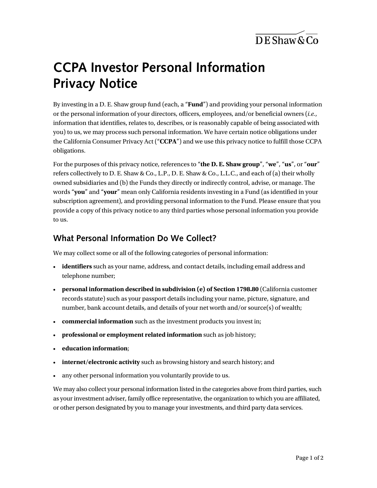$\overline{DE}$ Shaw & Co

# **CCPA Investor Personal Information Privacy Notice**

By investing in a D. E. Shaw group fund (each, a "**Fund**") and providing your personal information or the personal information of your directors, officers, employees, and/or beneficial owners (*i.e.*, information that identifies, relates to, describes, or is reasonably capable of being associated with you) to us, we may process such personal information. We have certain notice obligations under the California Consumer Privacy Act ("**CCPA**") and we use this privacy notice to fulfill those CCPA obligations.

For the purposes of this privacy notice, references to "**the D. E. Shaw group**", "**we**", "**us**", or "**our**" refers collectively to D. E. Shaw & Co., L.P., D. E. Shaw & Co., L.L.C., and each of (a) their wholly owned subsidiaries and (b) the Funds they directly or indirectly control, advise, or manage. The words "**you**" and "**your**" mean only California residents investing in a Fund (as identified in your subscription agreement), and providing personal information to the Fund. Please ensure that you provide a copy of this privacy notice to any third parties whose personal information you provide to us.

#### **What Personal Information Do We Collect?**

We may collect some or all of the following categories of personal information:

- **identifiers** such as your name, address, and contact details, including email address and telephone number;
- **personal information described in subdivision (e) of Section 1798.80** (California customer records statute) such as your passport details including your name, picture, signature, and number, bank account details, and details of your net worth and/or source(s) of wealth;
- **commercial information** such as the investment products you invest in;
- **professional or employment related information** such as job history;
- **education information**;
- **internet/electronic activity** such as browsing history and search history; and
- any other personal information you voluntarily provide to us.

We may also collect your personal information listed in the categories above from third parties, such as your investment adviser, family office representative, the organization to which you are affiliated, or other person designated by you to manage your investments, and third party data services.